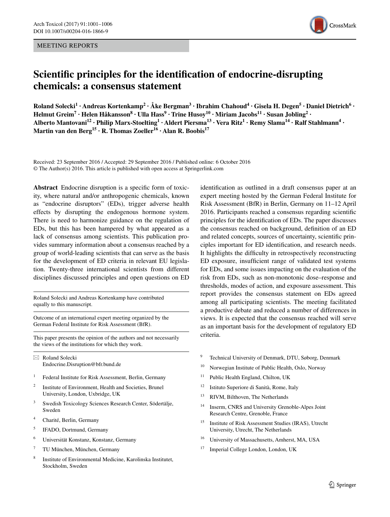MEETING REPORTS



# **Scientific principles for the identification of endocrine‑disrupting chemicals: a consensus statement**

**Roland Solecki1 · Andreas Kortenkamp2 · Åke Bergman<sup>3</sup> · Ibrahim Chahoud4 · Gisela H. Degen5 · Daniel Dietrich6 · Helmut Greim<sup>7</sup> · Helen Håkansson8 · Ulla Hass9 · Trine Husoy10 · Miriam Jacobs11 · Susan Jobling2 · Alberto Mantovani<sup>12</sup> · Philip Marx‑Stoelting1 · Aldert Piersma13 · Vera Ritz1 · Remy Slama14 · Ralf Stahlmann4 · Martin van den Berg<sup>15</sup> · R. Thomas Zoeller16 · Alan R. Boobis17**

Received: 23 September 2016 / Accepted: 29 September 2016 / Published online: 6 October 2016 © The Author(s) 2016. This article is published with open access at Springerlink.com

**Abstract** Endocrine disruption is a specific form of toxicity, where natural and/or anthropogenic chemicals, known as "endocrine disruptors" (EDs), trigger adverse health effects by disrupting the endogenous hormone system. There is need to harmonize guidance on the regulation of EDs, but this has been hampered by what appeared as a lack of consensus among scientists. This publication provides summary information about a consensus reached by a group of world-leading scientists that can serve as the basis for the development of ED criteria in relevant EU legislation. Twenty-three international scientists from different disciplines discussed principles and open questions on ED

Roland Solecki and Andreas Kortenkamp have contributed equally to this manuscript.

Outcome of an international expert meeting organized by the German Federal Institute for Risk Assessment (BfR).

This paper presents the opinion of the authors and not necessarily the views of the institutions for which they work.

 $\boxtimes$  Roland Solecki Endocrine.Disruption@bfr.bund.de

- <sup>1</sup> Federal Institute for Risk Assessment, Berlin, Germany
- <sup>2</sup> Institute of Environment, Health and Societies, Brunel University, London, Uxbridge, UK
- <sup>3</sup> Swedish Toxicology Sciences Research Center, Södertälje, Sweden
- <sup>4</sup> Charité, Berlin, Germany
- <sup>5</sup> IFADO, Dortmund, Germany
- <sup>6</sup> Universität Konstanz, Konstanz, Germany
- <sup>7</sup> TU München, München, Germany
- <sup>8</sup> Institute of Environmental Medicine, Karolinska Institutet, Stockholm, Sweden

identification as outlined in a draft consensus paper at an expert meeting hosted by the German Federal Institute for Risk Assessment (BfR) in Berlin, Germany on 11–12 April 2016. Participants reached a consensus regarding scientific principles for the identification of EDs. The paper discusses the consensus reached on background, definition of an ED and related concepts, sources of uncertainty, scientific principles important for ED identification, and research needs. It highlights the difficulty in retrospectively reconstructing ED exposure, insufficient range of validated test systems for EDs, and some issues impacting on the evaluation of the risk from EDs, such as non-monotonic dose–response and thresholds, modes of action, and exposure assessment. This report provides the consensus statement on EDs agreed among all participating scientists. The meeting facilitated a productive debate and reduced a number of differences in views. It is expected that the consensus reached will serve as an important basis for the development of regulatory ED criteria.

- <sup>9</sup> Technical University of Denmark, DTU, Søborg, Denmark
- <sup>10</sup> Norwegian Institute of Public Health, Oslo, Norway
- <sup>11</sup> Public Health England, Chilton, UK
- <sup>12</sup> Istituto Superiore di Sanità, Rome, Italy
- <sup>13</sup> RIVM, Bilthoven, The Netherlands
- <sup>14</sup> Inserm, CNRS and University Grenoble-Alpes Joint Research Centre, Grenoble, France
- <sup>15</sup> Institute of Risk Assessment Studies (IRAS), Utrecht University, Utrecht, The Netherlands
- <sup>16</sup> University of Massachusetts, Amherst, MA, USA
- <sup>17</sup> Imperial College London, London, UK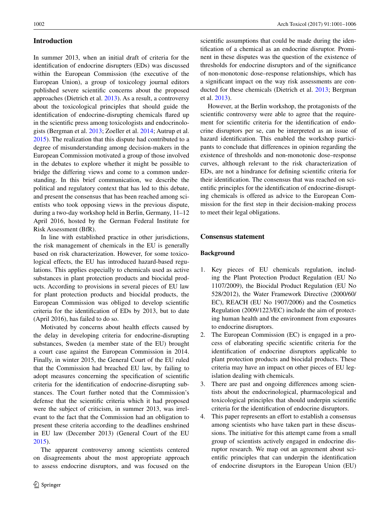## **Introduction**

In summer 2013, when an initial draft of criteria for the identification of endocrine disrupters (EDs) was discussed within the European Commission (the executive of the European Union), a group of toxicology journal editors published severe scientific concerns about the proposed approaches (Dietrich et al. [2013](#page-5-0)). As a result, a controversy about the toxicological principles that should guide the identification of endocrine-disrupting chemicals flared up in the scientific press among toxicologists and endocrinologists (Bergman et al. [2013;](#page-5-1) Zoeller et al. [2014](#page-5-2); Autrup et al. [2015](#page-5-3)). The realization that this dispute had contributed to a degree of misunderstanding among decision-makers in the European Commission motivated a group of those involved in the debates to explore whether it might be possible to bridge the differing views and come to a common understanding. In this brief communication, we describe the political and regulatory context that has led to this debate, and present the consensus that has been reached among scientists who took opposing views in the previous dispute, during a two-day workshop held in Berlin, Germany, 11–12 April 2016, hosted by the German Federal Institute for Risk Assessment (BfR).

In line with established practice in other jurisdictions, the risk management of chemicals in the EU is generally based on risk characterization. However, for some toxicological effects, the EU has introduced hazard-based regulations. This applies especially to chemicals used as active substances in plant protection products and biocidal products. According to provisions in several pieces of EU law for plant protection products and biocidal products, the European Commission was obliged to develop scientific criteria for the identification of EDs by 2013, but to date (April 2016), has failed to do so.

Motivated by concerns about health effects caused by the delay in developing criteria for endocrine-disrupting substances, Sweden (a member state of the EU) brought a court case against the European Commission in 2014. Finally, in winter 2015, the General Court of the EU ruled that the Commission had breached EU law, by failing to adopt measures concerning the specification of scientific criteria for the identification of endocrine-disrupting substances. The Court further noted that the Commission's defense that the scientific criteria which it had proposed were the subject of criticism, in summer 2013, was irrelevant to the fact that the Commission had an obligation to present these criteria according to the deadlines enshrined in EU law (December 2013) (General Court of the EU [2015](#page-5-4)).

The apparent controversy among scientists centered on disagreements about the most appropriate approach to assess endocrine disruptors, and was focused on the

scientific assumptions that could be made during the identification of a chemical as an endocrine disruptor. Prominent in these disputes was the question of the existence of thresholds for endocrine disruptors and of the significance of non-monotonic dose–response relationships, which has a significant impact on the way risk assessments are conducted for these chemicals (Dietrich et al. [2013;](#page-5-0) Bergman et al. [2013](#page-5-1)).

However, at the Berlin workshop, the protagonists of the scientific controversy were able to agree that the requirement for scientific criteria for the identification of endocrine disruptors per se, can be interpreted as an issue of hazard identification. This enabled the workshop participants to conclude that differences in opinion regarding the existence of thresholds and non-monotonic dose–response curves, although relevant to the risk characterization of EDs, are not a hindrance for defining scientific criteria for their identification. The consensus that was reached on scientific principles for the identification of endocrine-disrupting chemicals is offered as advice to the European Commission for the first step in their decision-making process to meet their legal obligations.

#### **Consensus statement**

#### **Background**

- 1. Key pieces of EU chemicals regulation, including the Plant Protection Product Regulation (EU No 1107/2009), the Biocidal Product Regulation (EU No 528/2012), the Water Framework Directive (2000/60/ EC), REACH (EU No 1907/2006) and the Cosmetics Regulation (2009/1223/EC) include the aim of protecting human health and the environment from exposures to endocrine disruptors.
- 2. The European Commission (EC) is engaged in a process of elaborating specific scientific criteria for the identification of endocrine disruptors applicable to plant protection products and biocidal products. These criteria may have an impact on other pieces of EU legislation dealing with chemicals.
- 3. There are past and ongoing differences among scientists about the endocrinological, pharmacological and toxicological principles that should underpin scientific criteria for the identification of endocrine disruptors.
- 4. This paper represents an effort to establish a consensus among scientists who have taken part in these discussions. The initiative for this attempt came from a small group of scientists actively engaged in endocrine disruptor research. We map out an agreement about scientific principles that can underpin the identification of endocrine disruptors in the European Union (EU)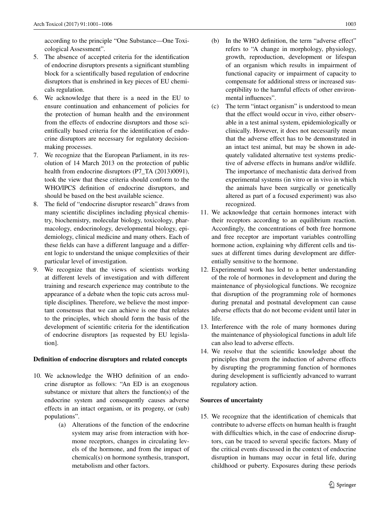according to the principle "One Substance—One Toxicological Assessment".

- 5. The absence of accepted criteria for the identification of endocrine disruptors presents a significant stumbling block for a scientifically based regulation of endocrine disruptors that is enshrined in key pieces of EU chemicals regulation.
- 6. We acknowledge that there is a need in the EU to ensure continuation and enhancement of policies for the protection of human health and the environment from the effects of endocrine disruptors and those scientifically based criteria for the identification of endocrine disruptors are necessary for regulatory decisionmaking processes.
- 7. We recognize that the European Parliament, in its resolution of 14 March 2013 on the protection of public health from endocrine disruptors (P7\_TA (2013)0091), took the view that these criteria should conform to the WHO/IPCS definition of endocrine disruptors, and should be based on the best available science.
- 8. The field of "endocrine disruptor research" draws from many scientific disciplines including physical chemistry, biochemistry, molecular biology, toxicology, pharmacology, endocrinology, developmental biology, epidemiology, clinical medicine and many others. Each of these fields can have a different language and a different logic to understand the unique complexities of their particular level of investigation.
- 9. We recognize that the views of scientists working at different levels of investigation and with different training and research experience may contribute to the appearance of a debate when the topic cuts across multiple disciplines. Therefore, we believe the most important consensus that we can achieve is one that relates to the principles, which should form the basis of the development of scientific criteria for the identification of endocrine disruptors [as requested by EU legislation].

## **Definition of endocrine disruptors and related concepts**

- 10. We acknowledge the WHO definition of an endocrine disruptor as follows: "An ED is an exogenous substance or mixture that alters the function(s) of the endocrine system and consequently causes adverse effects in an intact organism, or its progeny, or (sub) populations".
	- (a) Alterations of the function of the endocrine system may arise from interaction with hormone receptors, changes in circulating levels of the hormone, and from the impact of chemical(s) on hormone synthesis, transport, metabolism and other factors.
- (b) In the WHO definition, the term "adverse effect" refers to "A change in morphology, physiology, growth, reproduction, development or lifespan of an organism which results in impairment of functional capacity or impairment of capacity to compensate for additional stress or increased susceptibility to the harmful effects of other environmental influences".
- (c) The term "intact organism" is understood to mean that the effect would occur in vivo, either observable in a test animal system, epidemiologically or clinically. However, it does not necessarily mean that the adverse effect has to be demonstrated in an intact test animal, but may be shown in adequately validated alternative test systems predictive of adverse effects in humans and/or wildlife. The importance of mechanistic data derived from experimental systems (in vitro or in vivo in which the animals have been surgically or genetically altered as part of a focused experiment) was also recognized.
- 11. We acknowledge that certain hormones interact with their receptors according to an equilibrium reaction. Accordingly, the concentrations of both free hormone and free receptor are important variables controlling hormone action, explaining why different cells and tissues at different times during development are differentially sensitive to the hormone.
- 12. Experimental work has led to a better understanding of the role of hormones in development and during the maintenance of physiological functions. We recognize that disruption of the programming role of hormones during prenatal and postnatal development can cause adverse effects that do not become evident until later in life.
- 13. Interference with the role of many hormones during the maintenance of physiological functions in adult life can also lead to adverse effects.
- 14. We resolve that the scientific knowledge about the principles that govern the induction of adverse effects by disrupting the programming function of hormones during development is sufficiently advanced to warrant regulatory action.

#### **Sources of uncertainty**

15. We recognize that the identification of chemicals that contribute to adverse effects on human health is fraught with difficulties which, in the case of endocrine disruptors, can be traced to several specific factors. Many of the critical events discussed in the context of endocrine disruption in humans may occur in fetal life, during childhood or puberty. Exposures during these periods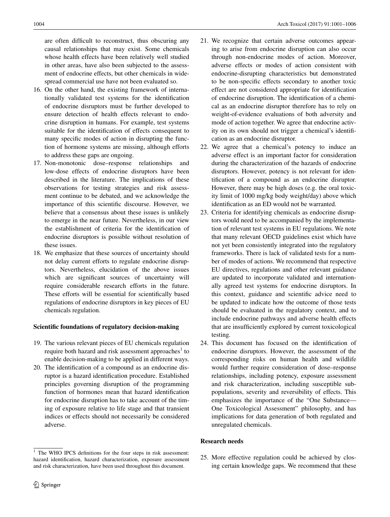are often difficult to reconstruct, thus obscuring any causal relationships that may exist. Some chemicals whose health effects have been relatively well studied in other areas, have also been subjected to the assessment of endocrine effects, but other chemicals in widespread commercial use have not been evaluated so.

- 16. On the other hand, the existing framework of internationally validated test systems for the identification of endocrine disruptors must be further developed to ensure detection of health effects relevant to endocrine disruption in humans. For example, test systems suitable for the identification of effects consequent to many specific modes of action in disrupting the function of hormone systems are missing, although efforts to address these gaps are ongoing.
- 17. Non-monotonic dose–response relationships and low-dose effects of endocrine disruptors have been described in the literature. The implications of these observations for testing strategies and risk assessment continue to be debated, and we acknowledge the importance of this scientific discourse. However, we believe that a consensus about these issues is unlikely to emerge in the near future. Nevertheless, in our view the establishment of criteria for the identification of endocrine disruptors is possible without resolution of these issues.
- 18. We emphasize that these sources of uncertainty should not delay current efforts to regulate endocrine disruptors. Nevertheless, elucidation of the above issues which are significant sources of uncertainty will require considerable research efforts in the future. These efforts will be essential for scientifically based regulations of endocrine disruptors in key pieces of EU chemicals regulation.

# **Scientific foundations of regulatory decision‑making**

- 19. The various relevant pieces of EU chemicals regulation require both hazard and risk assessment approaches<sup>[1](#page-3-0)</sup> to enable decision-making to be applied in different ways.
- 20. The identification of a compound as an endocrine disruptor is a hazard identification procedure. Established principles governing disruption of the programming function of hormones mean that hazard identification for endocrine disruption has to take account of the timing of exposure relative to life stage and that transient indices or effects should not necessarily be considered adverse.
- 21. We recognize that certain adverse outcomes appearing to arise from endocrine disruption can also occur through non-endocrine modes of action. Moreover, adverse effects or modes of action consistent with endocrine-disrupting characteristics but demonstrated to be non-specific effects secondary to another toxic effect are not considered appropriate for identification of endocrine disruption. The identification of a chemical as an endocrine disruptor therefore has to rely on weight-of-evidence evaluations of both adversity and mode of action together. We agree that endocrine activity on its own should not trigger a chemical's identification as an endocrine disruptor.
- 22. We agree that a chemical's potency to induce an adverse effect is an important factor for consideration during the characterization of the hazards of endocrine disruptors. However, potency is not relevant for identification of a compound as an endocrine disruptor. However, there may be high doses (e.g. the oral toxicity limit of 1000 mg/kg body weight/day) above which identification as an ED would not be warranted.
- 23. Criteria for identifying chemicals as endocrine disruptors would need to be accompanied by the implementation of relevant test systems in EU regulations. We note that many relevant OECD guidelines exist which have not yet been consistently integrated into the regulatory frameworks. There is lack of validated tests for a number of modes of actions. We recommend that respective EU directives, regulations and other relevant guidance are updated to incorporate validated and internationally agreed test systems for endocrine disruptors. In this context, guidance and scientific advice need to be updated to indicate how the outcome of those tests should be evaluated in the regulatory context, and to include endocrine pathways and adverse health effects that are insufficiently explored by current toxicological testing.
- 24. This document has focused on the identification of endocrine disruptors. However, the assessment of the corresponding risks on human health and wildlife would further require consideration of dose–response relationships, including potency, exposure assessment and risk characterization, including susceptible subpopulations, severity and reversibility of effects. This emphasizes the importance of the "One Substance— One Toxicological Assessment" philosophy, and has implications for data generation of both regulated and unregulated chemicals.

# **Research needs**

25. More effective regulation could be achieved by closing certain knowledge gaps. We recommend that these

<span id="page-3-0"></span><sup>&</sup>lt;sup>1</sup> The WHO IPCS definitions for the four steps in risk assessment: hazard identification, hazard characterization, exposure assessment and risk characterization, have been used throughout this document.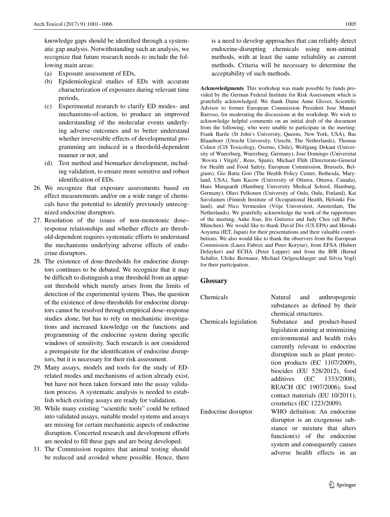knowledge gaps should be identified through a systematic gap analysis. Notwithstanding such an analysis, we recognize that future research needs to include the following main areas:

- (a) Exposure assessment of EDs,
- (b) Epidemiological studies of EDs with accurate characterization of exposures during relevant time periods,
- (c) Experimental research to clarify ED modes- and mechanisms-of-action, to produce an improved understanding of the molecular events underlying adverse outcomes and to better understand whether irreversible effects of developmental programming are induced in a threshold-dependent manner or not, and
- (d) Test method and biomarker development, including validation, to ensure more sensitive and robust identification of EDs.
- 26. We recognize that exposure assessments based on effect measurements and/or on a wide range of chemicals have the potential to identify previously unrecognized endocrine disruptors.
- 27. Resolution of the issues of non-monotonic dose– response relationships and whether effects are threshold-dependent requires systematic efforts to understand the mechanisms underlying adverse effects of endocrine disruptors.
- 28. The existence of dose-thresholds for endocrine disruptors continues to be debated. We recognize that it may be difficult to distinguish a true threshold from an apparent threshold which merely arises from the limits of detection of the experimental system. Thus, the question of the existence of dose-thresholds for endocrine disruptors cannot be resolved through empirical dose–response studies alone, but has to rely on mechanistic investigations and increased knowledge on the functions and programming of the endocrine system during specific windows of sensitivity. Such research is not considered a prerequisite for the identification of endocrine disruptors, but it is necessary for their risk assessment.
- 29. Many assays, models and tools for the study of EDrelated modes and mechanisms of action already exist, but have not been taken forward into the assay validation process. A systematic analysis is needed to establish which existing assays are ready for validation.
- 30. While many existing "scientific tools" could be refined into validated assays, suitable model systems and assays are missing for certain mechanistic aspects of endocrine disruption. Concerted research and development efforts are needed to fill these gaps and are being developed.
- 31. The Commission requires that animal testing should be reduced and avoided where possible. Hence, there

is a need to develop approaches that can reliably detect endocrine-disrupting chemicals using non-animal methods, with at least the same reliability as current methods. Criteria will be necessary to determine the acceptability of such methods.

**Acknowledgments** This workshop was made possible by funds provided by the German Federal Institute for Risk Assessment which is gratefully acknowledged. We thank Dame Anne Glover, Scientific Advisor to former European Commission President Jose Manuel Barroso, for moderating the discussions at the workshop. We wish to acknowledge helpful comments on an initial draft of the document from the following, who were unable to participate in the meeting: Frank Barile (St John's University, Queens, New York, USA), Bas Blaauboer (Utrecht University, Utrecht, The Netherlands), Thomas Colnot (CiS Toxicology, Osorno, Chile), Wolfgang Dekant (University of Wuerzburg, Wuerzburg, Germany), Jose Domingo (Universitat 'Rovira i Virgili', Reus, Spain), Michael Flüh (Directorate-General for Health and Food Safety, European Commission, Brussels, Belgium), Gio Batta Gori (The Health Policy Center, Bethesda, Maryland, USA), Sam Kacew (University of Ottawa, Ottawa, Canada), Hans Marquardt (Hamburg University Medical School, Hamburg, Germany), Olavi Pelkonen (University of Oulu, Oulu, Finland), Kai Savolainen (Finnish Institute of Occupational Health, Helsinki Finland), and Nico Vermeulen (Vrije Universiteit, Amsterdam, The Netherlands). We gratefully acknowledge the work of the rapporteurs of the meeting, Anke Joas, Iris Gutierez and Judy Choi (all BiPro, München). We would like to thank David Dix (US EPA) and Hiroaki Aoyama (IET, Japan) for their presentations and their valuable contributions. We also would like to thank the observers from the European Commission (Laura Fabrizi and Peter Korytar), from EFSA (Hubert Deluyker) and ECHA (Peter Lepper) and from the BfR (Bernd Schäfer, Ulrike Bernauer, Michael Oelgeschlaeger and Silvia Vogl) for their participation.

# **Glossary**

| Chemicals             | Natural and anthropogenic                                                                                                                                         |
|-----------------------|-------------------------------------------------------------------------------------------------------------------------------------------------------------------|
|                       | substances as defined by their                                                                                                                                    |
|                       | chemical structures.                                                                                                                                              |
|                       |                                                                                                                                                                   |
| Chemicals legislation | Substance and product-based                                                                                                                                       |
|                       | legislation aiming at minimizing                                                                                                                                  |
|                       | environmental and health risks                                                                                                                                    |
|                       | currently relevant to endocrine                                                                                                                                   |
|                       | disruption such as plant protec-                                                                                                                                  |
|                       | tion products (EC $1107/2009$ ),                                                                                                                                  |
|                       |                                                                                                                                                                   |
|                       | biocides $(EU 528/2012)$ , food                                                                                                                                   |
|                       | additives (EC 1333/2008),                                                                                                                                         |
|                       | REACH (EC 1907/2006), food                                                                                                                                        |
|                       | contact materials (EU 10/2011),                                                                                                                                   |
|                       | cosmetics (EC 1223/2009).                                                                                                                                         |
|                       |                                                                                                                                                                   |
|                       |                                                                                                                                                                   |
|                       |                                                                                                                                                                   |
|                       |                                                                                                                                                                   |
|                       | function(s) of the endocrine                                                                                                                                      |
|                       |                                                                                                                                                                   |
|                       |                                                                                                                                                                   |
| Endocrine disruptor   | WHO definition: An endocrine<br>disruptor is an exogenous sub-<br>stance or mixture that alters<br>system and consequently causes<br>adverse health effects in an |